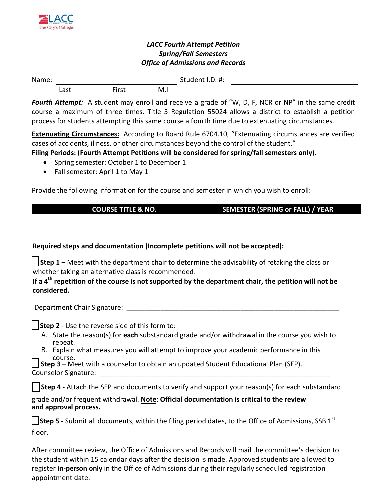

## *LACC Fourth Attempt Petition Spring/Fall Semesters Office of Admissions and Records*

Name: Student I.D. #: Last First M.I

*Fourth Attempt:* A student may enroll and receive a grade of "W, D, F, NCR or NP" in the same credit course a maximum of three times. Title 5 Regulation 55024 allows a district to establish a petition process for students attempting this same course a fourth time due to extenuating circumstances.

**Extenuating Circumstances:** According to Board Rule 6704.10, "Extenuating circumstances are verified cases of accidents, illness, or other circumstances beyond the control of the student."

# **Filing Periods: (Fourth Attempt Petitions will be considered for spring/fall semesters only).**

- Spring semester: October 1 to December 1
- Fall semester: April 1 to May 1

Provide the following information for the course and semester in which you wish to enroll:

| <b>COURSE TITLE &amp; NO.</b> | <b>SEMESTER (SPRING or FALL) / YEAR</b> |
|-------------------------------|-----------------------------------------|
|                               |                                         |
|                               |                                         |

#### **Required steps and documentation (Incomplete petitions will not be accepted):**

**Step 1** – Meet with the department chair to determine the advisability of retaking the class or whether taking an alternative class is recommended.

### **If a 4th repetition of the course is not supported by the department chair, the petition will not be considered.**

Department Chair Signature: \_\_\_\_\_\_\_\_\_\_\_\_\_\_\_\_\_\_\_\_\_\_\_\_\_\_\_\_\_\_\_\_\_\_\_\_\_\_\_\_\_\_\_\_\_\_\_\_\_\_\_\_\_\_\_\_

**Step 2** - Use the reverse side of this form to:

- A. State the reason(s) for **each** substandard grade and/or withdrawal in the course you wish to repeat.
- B. Explain what measures you will attempt to improve your academic performance in this course.

|                      | <b>Step 3</b> – Meet with a counselor to obtain an updated Student Educational Plan (SEP). |  |
|----------------------|--------------------------------------------------------------------------------------------|--|
| Counselor Signature: |                                                                                            |  |

|  |  |  | Step 4 - Attach the SEP and documents to verify and support your reason(s) for each substandard |
|--|--|--|-------------------------------------------------------------------------------------------------|
|  |  |  |                                                                                                 |

grade and/or frequent withdrawal. **Note**: **Official documentation is critical to the review and approval process.**

**Step 5** - Submit all documents, within the filing period dates, to the Office of Admissions, SSB 1<sup>st</sup> floor.

After committee review, the Office of Admissions and Records will mail the committee's decision to the student within 15 calendar days after the decision is made. Approved students are allowed to register **in-person only** in the Office of Admissions during their regularly scheduled registration appointment date.